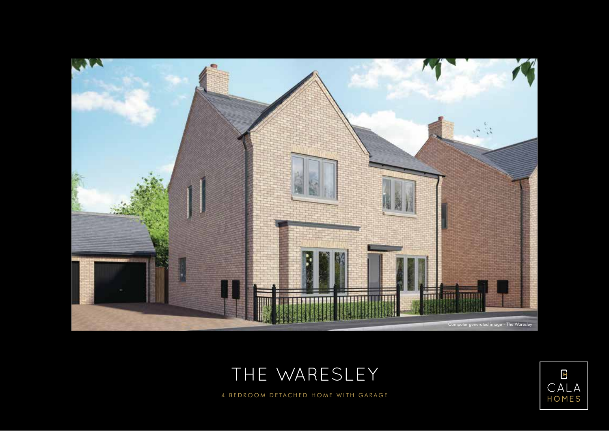





4 BEDROOM DETACHED HOME WITH GARAGE